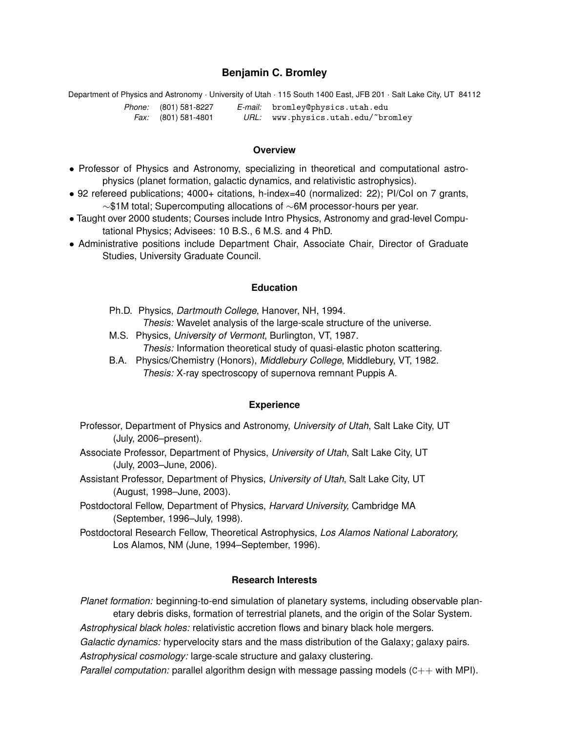## **Benjamin C. Bromley**

Department of Physics and Astronomy · University of Utah · 115 South 1400 East, JFB 201 · Salt Lake City, UT 84112 *Phone:* (801) 581-8227 *Fax:* (801) 581-4801 *E-mail:* bromley@physics.utah.edu *URL:* www.physics.utah.edu/˜bromley

### **Overview**

- Professor of Physics and Astronomy, specializing in theoretical and computational astrophysics (planet formation, galactic dynamics, and relativistic astrophysics).
- 92 refereed publications; 4000+ citations, h-index=40 (normalized: 22); PI/CoI on 7 grants, ∼\$1M total; Supercomputing allocations of ∼6M processor-hours per year.
- Taught over 2000 students; Courses include Intro Physics, Astronomy and grad-level Computational Physics; Advisees: 10 B.S., 6 M.S. and 4 PhD.
- Administrative positions include Department Chair, Associate Chair, Director of Graduate Studies, University Graduate Council.

### **Education**

- Ph.D. Physics, *Dartmouth College*, Hanover, NH, 1994. *Thesis:* Wavelet analysis of the large-scale structure of the universe.
- M.S. Physics, *University of Vermont*, Burlington, VT, 1987. *Thesis:* Information theoretical study of quasi-elastic photon scattering.
- B.A. Physics/Chemistry (Honors), *Middlebury College*, Middlebury, VT, 1982. *Thesis:* X-ray spectroscopy of supernova remnant Puppis A.

#### **Experience**

- Professor, Department of Physics and Astronomy, *University of Utah*, Salt Lake City, UT (July, 2006–present).
- Associate Professor, Department of Physics, *University of Utah*, Salt Lake City, UT (July, 2003–June, 2006).
- Assistant Professor, Department of Physics, *University of Utah*, Salt Lake City, UT (August, 1998–June, 2003).
- Postdoctoral Fellow, Department of Physics, *Harvard University,* Cambridge MA (September, 1996–July, 1998).
- Postdoctoral Research Fellow, Theoretical Astrophysics, *Los Alamos National Laboratory,* Los Alamos, NM (June, 1994–September, 1996).

## **Research Interests**

*Planet formation:* beginning-to-end simulation of planetary systems, including observable planetary debris disks, formation of terrestrial planets, and the origin of the Solar System.

*Astrophysical black holes:* relativistic accretion flows and binary black hole mergers.

*Galactic dynamics:* hypervelocity stars and the mass distribution of the Galaxy; galaxy pairs.

*Astrophysical cosmology:* large-scale structure and galaxy clustering.

*Parallel computation:* parallel algorithm design with message passing models (C++ with MPI).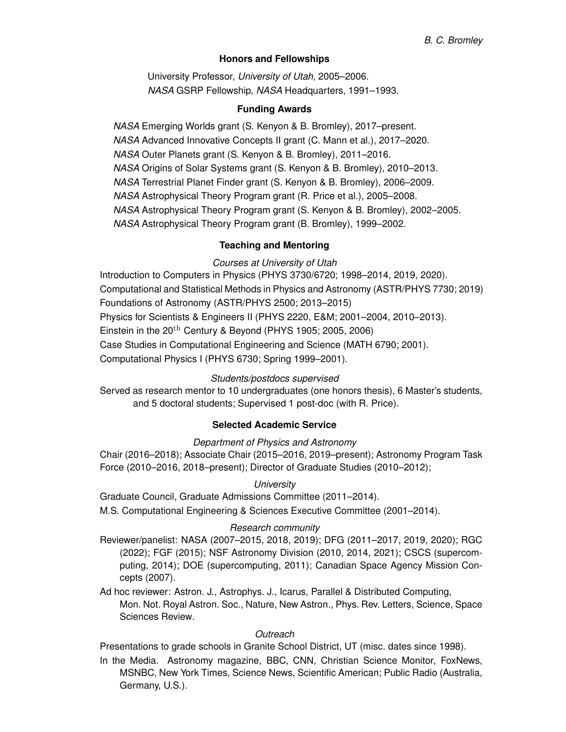## **Honors and Fellowships**

University Professor, *University of Utah*, 2005–2006. *NASA* GSRP Fellowship, *NASA* Headquarters, 1991–1993.

## **Funding Awards**

*NASA* Emerging Worlds grant (S. Kenyon & B. Bromley), 2017–present. *NASA* Advanced Innovative Concepts II grant (C. Mann et al.), 2017–2020. *NASA* Outer Planets grant (S. Kenyon & B. Bromley), 2011–2016. *NASA* Origins of Solar Systems grant (S. Kenyon & B. Bromley), 2010–2013. *NASA* Terrestrial Planet Finder grant (S. Kenyon & B. Bromley), 2006–2009. *NASA* Astrophysical Theory Program grant (R. Price et al.), 2005–2008. *NASA* Astrophysical Theory Program grant (S. Kenyon & B. Bromley), 2002–2005. *NASA* Astrophysical Theory Program grant (B. Bromley), 1999–2002.

## **Teaching and Mentoring**

*Courses at University of Utah*

Introduction to Computers in Physics (PHYS 3730/6720; 1998–2014, 2019, 2020). Computational and Statistical Methods in Physics and Astronomy (ASTR/PHYS 7730; 2019) Foundations of Astronomy (ASTR/PHYS 2500; 2013–2015) Physics for Scientists & Engineers II (PHYS 2220, E&M; 2001–2004, 2010–2013). Einstein in the  $20<sup>th</sup>$  Century & Beyond (PHYS 1905; 2005, 2006) Case Studies in Computational Engineering and Science (MATH 6790; 2001). Computational Physics I (PHYS 6730; Spring 1999–2001).

## *Students/postdocs supervised*

Served as research mentor to 10 undergraduates (one honors thesis), 6 Master's students, and 5 doctoral students; Supervised 1 post-doc (with R. Price).

## **Selected Academic Service**

*Department of Physics and Astronomy*

Chair (2016–2018); Associate Chair (2015–2016, 2019–present); Astronomy Program Task Force (2010–2016, 2018–present); Director of Graduate Studies (2010–2012);

## *University*

Graduate Council, Graduate Admissions Committee (2011–2014).

M.S. Computational Engineering & Sciences Executive Committee (2001–2014).

# *Research community*

Reviewer/panelist: NASA (2007–2015, 2018, 2019); DFG (2011–2017, 2019, 2020); RGC (2022); FGF (2015); NSF Astronomy Division (2010, 2014, 2021); CSCS (supercomputing, 2014); DOE (supercomputing, 2011); Canadian Space Agency Mission Concepts (2007).

Ad hoc reviewer: Astron. J., Astrophys. J., Icarus, Parallel & Distributed Computing, Mon. Not. Royal Astron. Soc., Nature, New Astron., Phys. Rev. Letters, Science, Space Sciences Review.

## *Outreach*

Presentations to grade schools in Granite School District, UT (misc. dates since 1998).

In the Media. Astronomy magazine, BBC, CNN, Christian Science Monitor, FoxNews, MSNBC, New York Times, Science News, Scientific American; Public Radio (Australia, Germany, U.S.).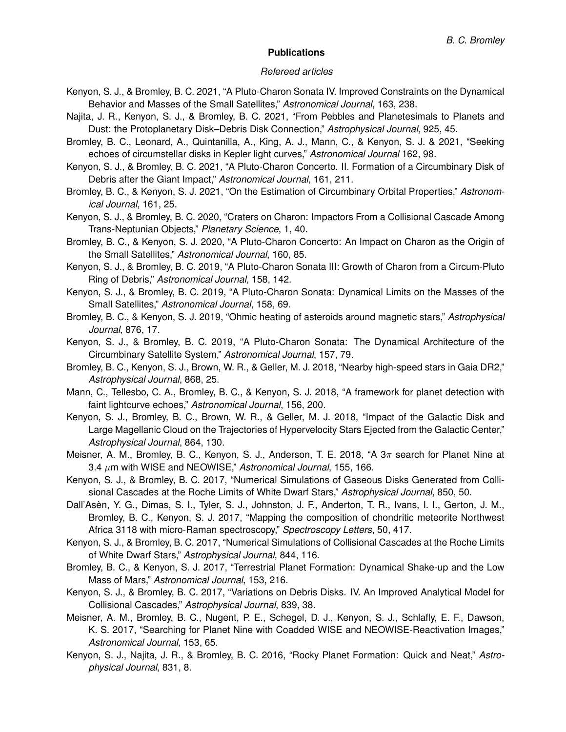### *Refereed articles*

- Kenyon, S. J., & Bromley, B. C. 2021, "A Pluto-Charon Sonata IV. Improved Constraints on the Dynamical Behavior and Masses of the Small Satellites," *Astronomical Journal*, 163, 238.
- Najita, J. R., Kenyon, S. J., & Bromley, B. C. 2021, "From Pebbles and Planetesimals to Planets and Dust: the Protoplanetary Disk–Debris Disk Connection," *Astrophysical Journal*, 925, 45.
- Bromley, B. C., Leonard, A., Quintanilla, A., King, A. J., Mann, C., & Kenyon, S. J. & 2021, "Seeking echoes of circumstellar disks in Kepler light curves," *Astronomical Journal* 162, 98.
- Kenyon, S. J., & Bromley, B. C. 2021, "A Pluto-Charon Concerto. II. Formation of a Circumbinary Disk of Debris after the Giant Impact," *Astronomical Journal*, 161, 211.
- Bromley, B. C., & Kenyon, S. J. 2021, "On the Estimation of Circumbinary Orbital Properties," *Astronomical Journal*, 161, 25.
- Kenyon, S. J., & Bromley, B. C. 2020, "Craters on Charon: Impactors From a Collisional Cascade Among Trans-Neptunian Objects," *Planetary Science*, 1, 40.
- Bromley, B. C., & Kenyon, S. J. 2020, "A Pluto-Charon Concerto: An Impact on Charon as the Origin of the Small Satellites," *Astronomical Journal*, 160, 85.
- Kenyon, S. J., & Bromley, B. C. 2019, "A Pluto-Charon Sonata III: Growth of Charon from a Circum-Pluto Ring of Debris," *Astronomical Journal*, 158, 142.
- Kenyon, S. J., & Bromley, B. C. 2019, "A Pluto-Charon Sonata: Dynamical Limits on the Masses of the Small Satellites," *Astronomical Journal*, 158, 69.
- Bromley, B. C., & Kenyon, S. J. 2019, "Ohmic heating of asteroids around magnetic stars," *Astrophysical Journal*, 876, 17.
- Kenyon, S. J., & Bromley, B. C. 2019, "A Pluto-Charon Sonata: The Dynamical Architecture of the Circumbinary Satellite System," *Astronomical Journal*, 157, 79.
- Bromley, B. C., Kenyon, S. J., Brown, W. R., & Geller, M. J. 2018, "Nearby high-speed stars in Gaia DR2," *Astrophysical Journal*, 868, 25.
- Mann, C., Tellesbo, C. A., Bromley, B. C., & Kenyon, S. J. 2018, "A framework for planet detection with faint lightcurve echoes," *Astronomical Journal*, 156, 200.
- Kenyon, S. J., Bromley, B. C., Brown, W. R., & Geller, M. J. 2018, "Impact of the Galactic Disk and Large Magellanic Cloud on the Trajectories of Hypervelocity Stars Ejected from the Galactic Center," *Astrophysical Journal*, 864, 130.
- Meisner, A. M., Bromley, B. C., Kenyon, S. J., Anderson, T. E. 2018, "A 3π search for Planet Nine at 3.4 µm with WISE and NEOWISE," *Astronomical Journal*, 155, 166.
- Kenyon, S. J., & Bromley, B. C. 2017, "Numerical Simulations of Gaseous Disks Generated from Collisional Cascades at the Roche Limits of White Dwarf Stars," *Astrophysical Journal*, 850, 50.
- Dall'Asèn, Y. G., Dimas, S. I., Tyler, S. J., Johnston, J. F., Anderton, T. R., Ivans, I. I., Gerton, J. M., Bromley, B. C., Kenyon, S. J. 2017, "Mapping the composition of chondritic meteorite Northwest Africa 3118 with micro-Raman spectroscopy," *Spectroscopy Letters*, 50, 417.
- Kenyon, S. J., & Bromley, B. C. 2017, "Numerical Simulations of Collisional Cascades at the Roche Limits of White Dwarf Stars," *Astrophysical Journal*, 844, 116.
- Bromley, B. C., & Kenyon, S. J. 2017, "Terrestrial Planet Formation: Dynamical Shake-up and the Low Mass of Mars," *Astronomical Journal*, 153, 216.
- Kenyon, S. J., & Bromley, B. C. 2017, "Variations on Debris Disks. IV. An Improved Analytical Model for Collisional Cascades," *Astrophysical Journal*, 839, 38.
- Meisner, A. M., Bromley, B. C., Nugent, P. E., Schegel, D. J., Kenyon, S. J., Schlafly, E. F., Dawson, K. S. 2017, "Searching for Planet Nine with Coadded WISE and NEOWISE-Reactivation Images," *Astronomical Journal*, 153, 65.
- Kenyon, S. J., Najita, J. R., & Bromley, B. C. 2016, "Rocky Planet Formation: Quick and Neat," *Astrophysical Journal*, 831, 8.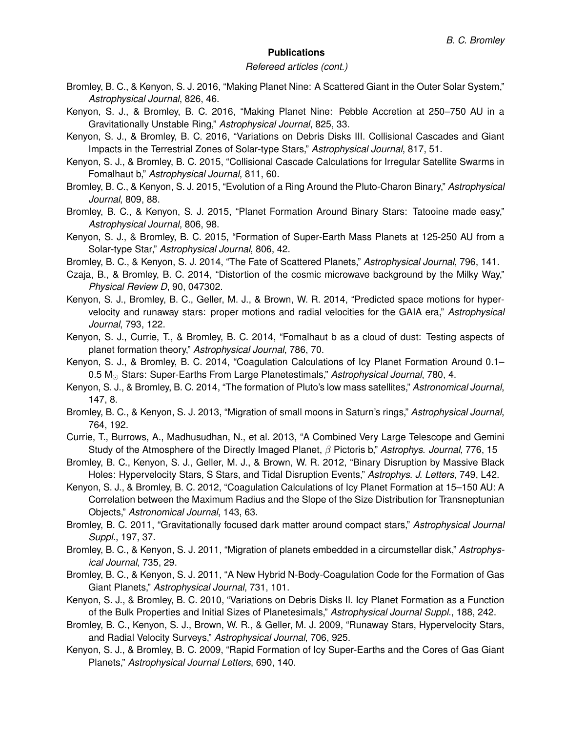### *Refereed articles (cont.)*

- Bromley, B. C., & Kenyon, S. J. 2016, "Making Planet Nine: A Scattered Giant in the Outer Solar System," *Astrophysical Journal*, 826, 46.
- Kenyon, S. J., & Bromley, B. C. 2016, "Making Planet Nine: Pebble Accretion at 250–750 AU in a Gravitationally Unstable Ring," *Astrophysical Journal*, 825, 33.
- Kenyon, S. J., & Bromley, B. C. 2016, "Variations on Debris Disks III. Collisional Cascades and Giant Impacts in the Terrestrial Zones of Solar-type Stars," *Astrophysical Journal*, 817, 51.
- Kenyon, S. J., & Bromley, B. C. 2015, "Collisional Cascade Calculations for Irregular Satellite Swarms in Fomalhaut b," *Astrophysical Journal*, 811, 60.
- Bromley, B. C., & Kenyon, S. J. 2015, "Evolution of a Ring Around the Pluto-Charon Binary," *Astrophysical Journal*, 809, 88.
- Bromley, B. C., & Kenyon, S. J. 2015, "Planet Formation Around Binary Stars: Tatooine made easy," *Astrophysical Journal*, 806, 98.
- Kenyon, S. J., & Bromley, B. C. 2015, "Formation of Super-Earth Mass Planets at 125-250 AU from a Solar-type Star," *Astrophysical Journal*, 806, 42.
- Bromley, B. C., & Kenyon, S. J. 2014, "The Fate of Scattered Planets," *Astrophysical Journal*, 796, 141.
- Czaja, B., & Bromley, B. C. 2014, "Distortion of the cosmic microwave background by the Milky Way," *Physical Review D*, 90, 047302.
- Kenyon, S. J., Bromley, B. C., Geller, M. J., & Brown, W. R. 2014, "Predicted space motions for hypervelocity and runaway stars: proper motions and radial velocities for the GAIA era," *Astrophysical Journal*, 793, 122.
- Kenyon, S. J., Currie, T., & Bromley, B. C. 2014, "Fomalhaut b as a cloud of dust: Testing aspects of planet formation theory," *Astrophysical Journal*, 786, 70.
- Kenyon, S. J., & Bromley, B. C. 2014, "Coagulation Calculations of Icy Planet Formation Around 0.1– 0.5 M<sub>o</sub> Stars: Super-Earths From Large Planetestimals," *Astrophysical Journal*, 780, 4.
- Kenyon, S. J., & Bromley, B. C. 2014, "The formation of Pluto's low mass satellites," *Astronomical Journal*, 147, 8.
- Bromley, B. C., & Kenyon, S. J. 2013, "Migration of small moons in Saturn's rings," *Astrophysical Journal*, 764, 192.
- Currie, T., Burrows, A., Madhusudhan, N., et al. 2013, "A Combined Very Large Telescope and Gemini Study of the Atmosphere of the Directly Imaged Planet, β Pictoris b," *Astrophys. Journal*, 776, 15
- Bromley, B. C., Kenyon, S. J., Geller, M. J., & Brown, W. R. 2012, "Binary Disruption by Massive Black Holes: Hypervelocity Stars, S Stars, and Tidal Disruption Events," *Astrophys. J. Letters*, 749, L42.
- Kenyon, S. J., & Bromley, B. C. 2012, "Coagulation Calculations of Icy Planet Formation at 15–150 AU: A Correlation between the Maximum Radius and the Slope of the Size Distribution for Transneptunian Objects," *Astronomical Journal*, 143, 63.
- Bromley, B. C. 2011, "Gravitationally focused dark matter around compact stars," *Astrophysical Journal Suppl.*, 197, 37.
- Bromley, B. C., & Kenyon, S. J. 2011, "Migration of planets embedded in a circumstellar disk," *Astrophysical Journal*, 735, 29.
- Bromley, B. C., & Kenyon, S. J. 2011, "A New Hybrid N-Body-Coagulation Code for the Formation of Gas Giant Planets," *Astrophysical Journal*, 731, 101.
- Kenyon, S. J., & Bromley, B. C. 2010, "Variations on Debris Disks II. Icy Planet Formation as a Function of the Bulk Properties and Initial Sizes of Planetesimals," *Astrophysical Journal Suppl.*, 188, 242.
- Bromley, B. C., Kenyon, S. J., Brown, W. R., & Geller, M. J. 2009, "Runaway Stars, Hypervelocity Stars, and Radial Velocity Surveys," *Astrophysical Journal*, 706, 925.
- Kenyon, S. J., & Bromley, B. C. 2009, "Rapid Formation of Icy Super-Earths and the Cores of Gas Giant Planets," *Astrophysical Journal Letters*, 690, 140.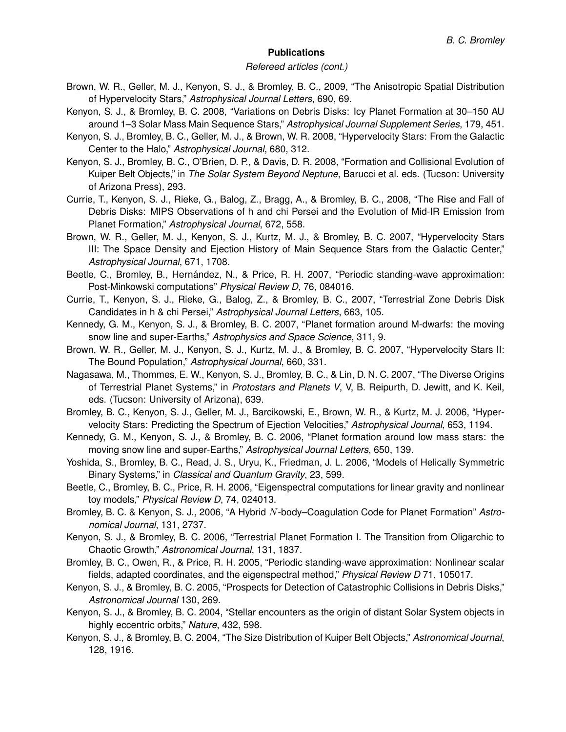### *Refereed articles (cont.)*

- Brown, W. R., Geller, M. J., Kenyon, S. J., & Bromley, B. C., 2009, "The Anisotropic Spatial Distribution of Hypervelocity Stars," *Astrophysical Journal Letters*, 690, 69.
- Kenyon, S. J., & Bromley, B. C. 2008, "Variations on Debris Disks: Icy Planet Formation at 30–150 AU around 1–3 Solar Mass Main Sequence Stars," *Astrophysical Journal Supplement Series*, 179, 451.
- Kenyon, S. J., Bromley, B. C., Geller, M. J., & Brown, W. R. 2008, "Hypervelocity Stars: From the Galactic Center to the Halo," *Astrophysical Journal*, 680, 312.
- Kenyon, S. J., Bromley, B. C., O'Brien, D. P., & Davis, D. R. 2008, "Formation and Collisional Evolution of Kuiper Belt Objects," in *The Solar System Beyond Neptune*, Barucci et al. eds. (Tucson: University of Arizona Press), 293.
- Currie, T., Kenyon, S. J., Rieke, G., Balog, Z., Bragg, A., & Bromley, B. C., 2008, "The Rise and Fall of Debris Disks: MIPS Observations of h and chi Persei and the Evolution of Mid-IR Emission from Planet Formation," *Astrophysical Journal*, 672, 558.
- Brown, W. R., Geller, M. J., Kenyon, S. J., Kurtz, M. J., & Bromley, B. C. 2007, "Hypervelocity Stars III: The Space Density and Ejection History of Main Sequence Stars from the Galactic Center," *Astrophysical Journal*, 671, 1708.
- Beetle, C., Bromley, B., Hernández, N., & Price, R. H. 2007, "Periodic standing-wave approximation: Post-Minkowski computations" *Physical Review D*, 76, 084016.
- Currie, T., Kenyon, S. J., Rieke, G., Balog, Z., & Bromley, B. C., 2007, "Terrestrial Zone Debris Disk Candidates in h & chi Persei," *Astrophysical Journal Letters*, 663, 105.
- Kennedy, G. M., Kenyon, S. J., & Bromley, B. C. 2007, "Planet formation around M-dwarfs: the moving snow line and super-Earths," *Astrophysics and Space Science*, 311, 9.
- Brown, W. R., Geller, M. J., Kenyon, S. J., Kurtz, M. J., & Bromley, B. C. 2007, "Hypervelocity Stars II: The Bound Population," *Astrophysical Journal*, 660, 331.
- Nagasawa, M., Thommes, E. W., Kenyon, S. J., Bromley, B. C., & Lin, D. N. C. 2007, "The Diverse Origins of Terrestrial Planet Systems," in *Protostars and Planets V*, V, B. Reipurth, D. Jewitt, and K. Keil, eds. (Tucson: University of Arizona), 639.
- Bromley, B. C., Kenyon, S. J., Geller, M. J., Barcikowski, E., Brown, W. R., & Kurtz, M. J. 2006, "Hypervelocity Stars: Predicting the Spectrum of Ejection Velocities," *Astrophysical Journal*, 653, 1194.
- Kennedy, G. M., Kenyon, S. J., & Bromley, B. C. 2006, "Planet formation around low mass stars: the moving snow line and super-Earths," *Astrophysical Journal Letters*, 650, 139.
- Yoshida, S., Bromley, B. C., Read, J. S., Uryu, K., Friedman, J. L. 2006, "Models of Helically Symmetric Binary Systems," in *Classical and Quantum Gravity*, 23, 599.
- Beetle, C., Bromley, B. C., Price, R. H. 2006, "Eigenspectral computations for linear gravity and nonlinear toy models," *Physical Review D*, 74, 024013.
- Bromley, B. C. & Kenyon, S. J., 2006, "A Hybrid N-body–Coagulation Code for Planet Formation" *Astronomical Journal*, 131, 2737.
- Kenyon, S. J., & Bromley, B. C. 2006, "Terrestrial Planet Formation I. The Transition from Oligarchic to Chaotic Growth," *Astronomical Journal*, 131, 1837.
- Bromley, B. C., Owen, R., & Price, R. H. 2005, "Periodic standing-wave approximation: Nonlinear scalar fields, adapted coordinates, and the eigenspectral method," *Physical Review D* 71, 105017.
- Kenyon, S. J., & Bromley, B. C. 2005, "Prospects for Detection of Catastrophic Collisions in Debris Disks," *Astronomical Journal* 130, 269.
- Kenyon, S. J., & Bromley, B. C. 2004, "Stellar encounters as the origin of distant Solar System objects in highly eccentric orbits," *Nature*, 432, 598.
- Kenyon, S. J., & Bromley, B. C. 2004, "The Size Distribution of Kuiper Belt Objects," *Astronomical Journal*, 128, 1916.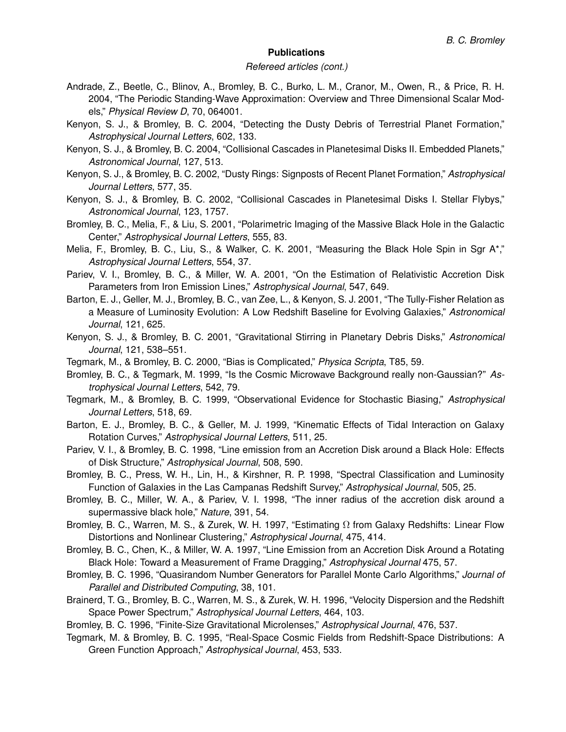### *Refereed articles (cont.)*

- Andrade, Z., Beetle, C., Blinov, A., Bromley, B. C., Burko, L. M., Cranor, M., Owen, R., & Price, R. H. 2004, "The Periodic Standing-Wave Approximation: Overview and Three Dimensional Scalar Models," *Physical Review D*, 70, 064001.
- Kenyon, S. J., & Bromley, B. C. 2004, "Detecting the Dusty Debris of Terrestrial Planet Formation," *Astrophysical Journal Letters*, 602, 133.
- Kenyon, S. J., & Bromley, B. C. 2004, "Collisional Cascades in Planetesimal Disks II. Embedded Planets," *Astronomical Journal*, 127, 513.
- Kenyon, S. J., & Bromley, B. C. 2002, "Dusty Rings: Signposts of Recent Planet Formation," *Astrophysical Journal Letters*, 577, 35.
- Kenyon, S. J., & Bromley, B. C. 2002, "Collisional Cascades in Planetesimal Disks I. Stellar Flybys," *Astronomical Journal*, 123, 1757.
- Bromley, B. C., Melia, F., & Liu, S. 2001, "Polarimetric Imaging of the Massive Black Hole in the Galactic Center," *Astrophysical Journal Letters*, 555, 83.
- Melia, F., Bromley, B. C., Liu, S., & Walker, C. K. 2001, "Measuring the Black Hole Spin in Sgr A\*," *Astrophysical Journal Letters*, 554, 37.
- Pariev, V. I., Bromley, B. C., & Miller, W. A. 2001, "On the Estimation of Relativistic Accretion Disk Parameters from Iron Emission Lines," *Astrophysical Journal*, 547, 649.
- Barton, E. J., Geller, M. J., Bromley, B. C., van Zee, L., & Kenyon, S. J. 2001, "The Tully-Fisher Relation as a Measure of Luminosity Evolution: A Low Redshift Baseline for Evolving Galaxies," *Astronomical Journal*, 121, 625.
- Kenyon, S. J., & Bromley, B. C. 2001, "Gravitational Stirring in Planetary Debris Disks," *Astronomical Journal*, 121, 538–551.
- Tegmark, M., & Bromley, B. C. 2000, "Bias is Complicated," *Physica Scripta*, T85, 59.
- Bromley, B. C., & Tegmark, M. 1999, "Is the Cosmic Microwave Background really non-Gaussian?" *Astrophysical Journal Letters*, 542, 79.
- Tegmark, M., & Bromley, B. C. 1999, "Observational Evidence for Stochastic Biasing," *Astrophysical Journal Letters*, 518, 69.
- Barton, E. J., Bromley, B. C., & Geller, M. J. 1999, "Kinematic Effects of Tidal Interaction on Galaxy Rotation Curves," *Astrophysical Journal Letters*, 511, 25.
- Pariev, V. I., & Bromley, B. C. 1998, "Line emission from an Accretion Disk around a Black Hole: Effects of Disk Structure," *Astrophysical Journal*, 508, 590.
- Bromley, B. C., Press, W. H., Lin, H., & Kirshner, R. P. 1998, "Spectral Classification and Luminosity Function of Galaxies in the Las Campanas Redshift Survey," *Astrophysical Journal*, 505, 25.
- Bromley, B. C., Miller, W. A., & Pariev, V. I. 1998, "The inner radius of the accretion disk around a supermassive black hole," *Nature*, 391, 54.
- Bromley, B. C., Warren, M. S., & Zurek, W. H. 1997, "Estimating  $\Omega$  from Galaxy Redshifts: Linear Flow Distortions and Nonlinear Clustering," *Astrophysical Journal*, 475, 414.
- Bromley, B. C., Chen, K., & Miller, W. A. 1997, "Line Emission from an Accretion Disk Around a Rotating Black Hole: Toward a Measurement of Frame Dragging," *Astrophysical Journal* 475, 57.
- Bromley, B. C. 1996, "Quasirandom Number Generators for Parallel Monte Carlo Algorithms," *Journal of Parallel and Distributed Computing*, 38, 101.
- Brainerd, T. G., Bromley, B. C., Warren, M. S., & Zurek, W. H. 1996, "Velocity Dispersion and the Redshift Space Power Spectrum," *Astrophysical Journal Letters*, 464, 103.
- Bromley, B. C. 1996, "Finite-Size Gravitational Microlenses," *Astrophysical Journal*, 476, 537.
- Tegmark, M. & Bromley, B. C. 1995, "Real-Space Cosmic Fields from Redshift-Space Distributions: A Green Function Approach," *Astrophysical Journal*, 453, 533.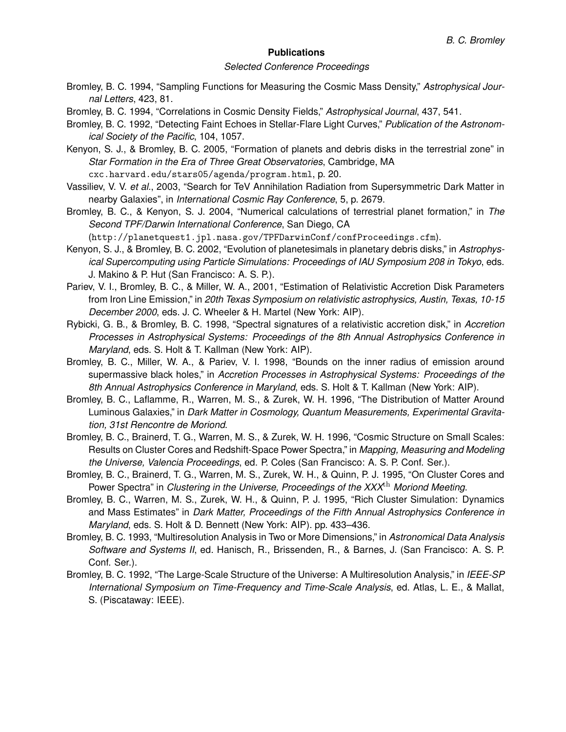### *Selected Conference Proceedings*

- Bromley, B. C. 1994, "Sampling Functions for Measuring the Cosmic Mass Density," *Astrophysical Journal Letters*, 423, 81.
- Bromley, B. C. 1994, "Correlations in Cosmic Density Fields," *Astrophysical Journal*, 437, 541.
- Bromley, B. C. 1992, "Detecting Faint Echoes in Stellar-Flare Light Curves," *Publication of the Astronomical Society of the Pacific*, 104, 1057.
- Kenyon, S. J., & Bromley, B. C. 2005, "Formation of planets and debris disks in the terrestrial zone" in *Star Formation in the Era of Three Great Observatories*, Cambridge, MA cxc.harvard.edu/stars05/agenda/program.html, p. 20.
- Vassiliev, V. V. *et al.*, 2003, "Search for TeV Annihilation Radiation from Supersymmetric Dark Matter in nearby Galaxies", in *International Cosmic Ray Conference*, 5, p. 2679.
- Bromley, B. C., & Kenyon, S. J. 2004, "Numerical calculations of terrestrial planet formation," in *The Second TPF/Darwin International Conference*, San Diego, CA

(http://planetquest1.jpl.nasa.gov/TPFDarwinConf/confProceedings.cfm).

- Kenyon, S. J., & Bromley, B. C. 2002, "Evolution of planetesimals in planetary debris disks," in *Astrophysical Supercomputing using Particle Simulations: Proceedings of IAU Symposium 208 in Tokyo*, eds. J. Makino & P. Hut (San Francisco: A. S. P.).
- Pariev, V. I., Bromley, B. C., & Miller, W. A., 2001, "Estimation of Relativistic Accretion Disk Parameters from Iron Line Emission," in *20th Texas Symposium on relativistic astrophysics, Austin, Texas, 10-15 December 2000*, eds. J. C. Wheeler & H. Martel (New York: AIP).
- Rybicki, G. B., & Bromley, B. C. 1998, "Spectral signatures of a relativistic accretion disk," in *Accretion Processes in Astrophysical Systems: Proceedings of the 8th Annual Astrophysics Conference in Maryland*, eds. S. Holt & T. Kallman (New York: AIP).
- Bromley, B. C., Miller, W. A., & Pariev, V. I. 1998, "Bounds on the inner radius of emission around supermassive black holes," in *Accretion Processes in Astrophysical Systems: Proceedings of the 8th Annual Astrophysics Conference in Maryland*, eds. S. Holt & T. Kallman (New York: AIP).
- Bromley, B. C., Laflamme, R., Warren, M. S., & Zurek, W. H. 1996, "The Distribution of Matter Around Luminous Galaxies," in *Dark Matter in Cosmology, Quantum Measurements, Experimental Gravitation, 31st Rencontre de Moriond*.
- Bromley, B. C., Brainerd, T. G., Warren, M. S., & Zurek, W. H. 1996, "Cosmic Structure on Small Scales: Results on Cluster Cores and Redshift-Space Power Spectra," in *Mapping, Measuring and Modeling the Universe, Valencia Proceedings*, ed. P. Coles (San Francisco: A. S. P. Conf. Ser.).
- Bromley, B. C., Brainerd, T. G., Warren, M. S., Zurek, W. H., & Quinn, P. J. 1995, "On Cluster Cores and Power Spectra" in *Clustering in the Universe, Proceedings of the XXX*th *Moriond Meeting*.
- Bromley, B. C., Warren, M. S., Zurek, W. H., & Quinn, P. J. 1995, "Rich Cluster Simulation: Dynamics and Mass Estimates" in *Dark Matter, Proceedings of the Fifth Annual Astrophysics Conference in Maryland*, eds. S. Holt & D. Bennett (New York: AIP). pp. 433–436.
- Bromley, B. C. 1993, "Multiresolution Analysis in Two or More Dimensions," in *Astronomical Data Analysis Software and Systems II*, ed. Hanisch, R., Brissenden, R., & Barnes, J. (San Francisco: A. S. P. Conf. Ser.).
- Bromley, B. C. 1992, "The Large-Scale Structure of the Universe: A Multiresolution Analysis," in *IEEE-SP International Symposium on Time-Frequency and Time-Scale Analysis*, ed. Atlas, L. E., & Mallat, S. (Piscataway: IEEE).